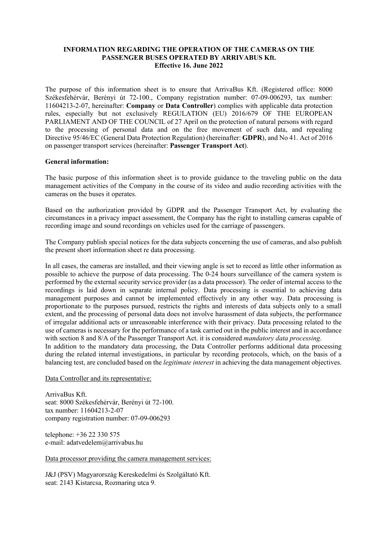## **INFORMATION REGARDING THE OPERATION OF THE CAMERAS ON THE PASSENGER BUSES OPERATED BY ARRIVABUS Kft. Effective 16. June 2022**

The purpose of this information sheet is to ensure that ArrivaBus Kft. (Registered office: 8000 Székesfehérvár, Berényi út 72-100., Company registration number: 07-09-006293, tax number: 11604213-2-07, hereinafter: **Company** or **Data Controller**) complies with applicable data protection rules, especially but not exclusively REGULATION (EU) 2016/679 OF THE EUROPEAN PARLIAMENT AND OF THE COUNCIL of 27 April on the protection of natural persons with regard to the processing of personal data and on the free movement of such data, and repealing Directive 95/46/EC (General Data Protection Regulation) (hereinafter: **GDPR**), and No 41. Act of 2016 on passenger transport services (hereinafter: **Passenger Transport Act**).

## **General information:**

The basic purpose of this information sheet is to provide guidance to the traveling public on the data management activities of the Company in the course of its video and audio recording activities with the cameras on the buses it operates.

Based on the authorization provided by GDPR and the Passenger Transport Act, by evaluating the circumstances in a privacy impact assessment, the Company has the right to installing cameras capable of recording image and sound recordings on vehicles used for the carriage of passengers.

The Company publish special notices for the data subjects concerning the use of cameras, and also publish the present short information sheet re data processing.

In all cases, the cameras are installed, and their viewing angle is set to record as little other information as possible to achieve the purpose of data processing. The 0-24 hours surveillance of the camera system is performed by the external security service provider (as a data processor). The order of internal access to the recordings is laid down in separate internal policy. Data processing is essential to achieving data management purposes and cannot be implemented effectively in any other way. Data processing is proportionate to the purposes pursued, restricts the rights and interests of data subjects only to a small extent, and the processing of personal data does not involve harassment of data subjects, the performance of irregular additional acts or unreasonable interference with their privacy. Data processing related to the use of cameras is necessary for the performance of a task carried out in the public interest and in accordance with section 8 and 8/A of the Passenger Transport Act. it is considered *mandatory data processing*. In addition to the mandatory data processing, the Data Controller performs additional data processing

during the related internal investigations, in particular by recording protocols, which, on the basis of a balancing test, are concluded based on the *legitimate interest* in achieving the data management objectives.

Data Controller and its representative:

ArrivaBus Kft. seat: 8000 Székesfehérvár, Berényi út 72-100. tax number: 11604213-2-07 company registration number: 07-09-006293

telephone: +36 22 330 575 e-mail: adatvedelem@arrivabus.hu

Data processor providing the camera management services:

J&J (PSV) Magyarország Kereskedelmi és Szolgáltató Kft. seat: 2143 Kistarcsa, Rozmaring utca 9.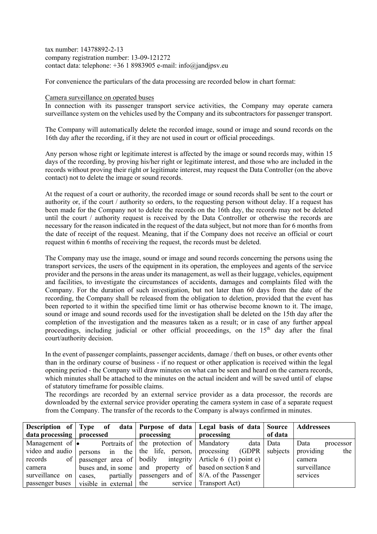tax number: 14378892-2-13 company registration number: 13-09-121272 contact data: telephone: +36 1 8983905 e-mail: info@jandjpsv.eu

For convenience the particulars of the data processing are recorded below in chart format:

## Camera surveillance on operated buses

In connection with its passenger transport service activities, the Company may operate camera surveillance system on the vehicles used by the Company and its subcontractors for passenger transport.

The Company will automatically delete the recorded image, sound or image and sound records on the 16th day after the recording, if it they are not used in court or official proceedings.

Any person whose right or legitimate interest is affected by the image or sound records may, within 15 days of the recording, by proving his/her right or legitimate interest, and those who are included in the records without proving their right or legitimate interest, may request the Data Controller (on the above contact) not to delete the image or sound records.

At the request of a court or authority, the recorded image or sound records shall be sent to the court or authority or, if the court / authority so orders, to the requesting person without delay. If a request has been made for the Company not to delete the records on the 16th day, the records may not be deleted until the court / authority request is received by the Data Controller or otherwise the records are necessary for the reason indicated in the request of the data subject, but not more than for 6 months from the date of receipt of the request. Meaning, that if the Company does not receive an official or court request within 6 months of receiving the request, the records must be deleted.

The Company may use the image, sound or image and sound records concerning the persons using the transport services, the users of the equipment in its operation, the employees and agents of the service provider and the persons in the areas under its management, as well as their luggage, vehicles, equipment and facilities, to investigate the circumstances of accidents, damages and complaints filed with the Company. For the duration of such investigation, but not later than 60 days from the date of the recording, the Company shall be released from the obligation to deletion, provided that the event has been reported to it within the specified time limit or has otherwise become known to it. The image, sound or image and sound records used for the investigation shall be deleted on the 15th day after the completion of the investigation and the measures taken as a result; or in case of any further appeal proceedings, including judicial or other official proceedings, on the 15<sup>th</sup> day after the final court/authority decision.

In the event of passenger complaints, passenger accidents, damage / theft on buses, or other events other than in the ordinary course of business - if no request or other application is received within the legal opening period - the Company will draw minutes on what can be seen and heard on the camera records, which minutes shall be attached to the minutes on the actual incident and will be saved until of elapse of statutory timeframe for possible claims.

The recordings are recorded by an external service provider as a data processor, the records are downloaded by the external service provider operating the camera system in case of a separate request from the Company. The transfer of the records to the Company is always confirmed in minutes.

|                             |                                                                  |                                                | Description of Type of data   Purpose of data   Legal basis of data   Source   Addressees |           |                   |
|-----------------------------|------------------------------------------------------------------|------------------------------------------------|-------------------------------------------------------------------------------------------|-----------|-------------------|
| data processing   processed |                                                                  | processing                                     | processing                                                                                | of data   |                   |
|                             | Management of $\bullet$ Portraits of the protection of Mandatory |                                                |                                                                                           | data Data | Data<br>processor |
|                             |                                                                  |                                                | video and audio persons in the the life, person, processing $(GDPR)$ subjects             |           | providing<br>the  |
| records                     |                                                                  |                                                | of   passenger area of   bodily integrity   Article 6 (1) point e)                        |           | camera            |
| camera                      |                                                                  |                                                | buses and, in some   and property of   based on section 8 and                             |           | surveillance      |
| surveillance on             | cases.                                                           |                                                | partially   passengers and of $  8/A$ . of the Passenger                                  |           | services          |
| passenger buses             |                                                                  | visible in external the service Transport Act) |                                                                                           |           |                   |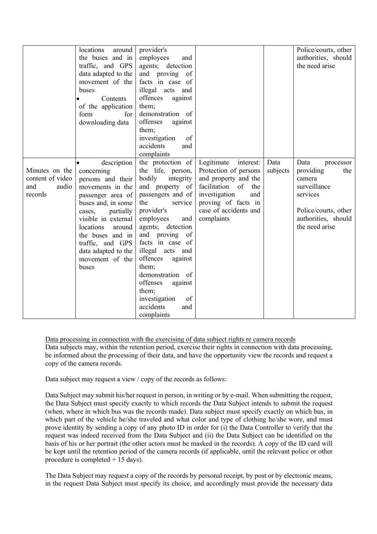|                                                               | locations<br>around<br>the buses and in<br>traffic, and GPS<br>data adapted to the<br>movement of the<br>buses<br>Contents<br>of the application<br>for<br>form<br>downloading data                                                                                           | provider's<br>employees<br>and<br>agents; detection<br>and proving of<br>facts in case of<br>illegal acts and<br>offences<br>against<br>them;<br>demonstration of<br>offenses<br>against<br>them;<br>investigation<br>of<br>accidents<br>and<br>complaints                                                                                                                            |                                                                                                                                                                                             |                  | Police/courts, other<br>authorities, should<br>the need arise                                                                                |
|---------------------------------------------------------------|-------------------------------------------------------------------------------------------------------------------------------------------------------------------------------------------------------------------------------------------------------------------------------|---------------------------------------------------------------------------------------------------------------------------------------------------------------------------------------------------------------------------------------------------------------------------------------------------------------------------------------------------------------------------------------|---------------------------------------------------------------------------------------------------------------------------------------------------------------------------------------------|------------------|----------------------------------------------------------------------------------------------------------------------------------------------|
| Minutes on the<br>content of video<br>and<br>audio<br>records | description<br>concerning<br>persons and their<br>movements in the<br>passenger area of<br>buses and, in some<br>partially<br>cases,<br>visible in external<br>locations<br>around<br>the buses and in<br>traffic, and GPS<br>data adapted to the<br>movement of the<br>buses | the protection of<br>the life, person,<br>bodily<br>integrity<br>and property of<br>passengers and of<br>the<br>service<br>provider's<br>employees<br>and<br>agents; detection<br>and proving of<br>facts in case of<br>illegal acts and<br>offences<br>against<br>them;<br>demonstration of<br>offenses<br>against<br>them;<br>investigation<br>of<br>accidents<br>and<br>complaints | Legitimate<br>interest:<br>Protection of persons<br>and property and the<br>facilitation<br>of<br>the<br>investigation<br>and<br>proving of facts in<br>case of accidents and<br>complaints | Data<br>subjects | Data<br>processor<br>providing<br>the<br>camera<br>surveillance<br>services<br>Police/courts, other<br>authorities, should<br>the need arise |

Data processing in connection with the exercising of data subject rights re camera records

Data subjects may, within the retention period, exercise their rights in connection with data processing, be informed about the processing of their data, and have the opportunity view the records and request a copy of the camera records.

Data subject may request a view / copy of the records as follows:

Data Subject may submit his/her request in person, in writing or by e-mail. When submitting the request, the Data Subject must specify exactly to which records the Data Subject intends to submit the request (when, where in which bus was the records made). Data subject must specify exactly on which bus, in which part of the vehicle he/she traveled and what color and type of clothing he/she wore, and must prove identity by sending a copy of any photo ID in order for (i) the Data Controller to verify that the request was indeed received from the Data Subject and (ii) the Data Subject can be identified on the basis of his or her portrait (the other actors must be masked in the records). A copy of the ID card will be kept until the retention period of the camera records (if applicable, until the relevant police or other procedure is completed  $+ 15$  days).

The Data Subject may request a copy of the records by personal receipt, by post or by electronic means, in the request Data Subject must specify its choice, and accordingly must provide the necessary data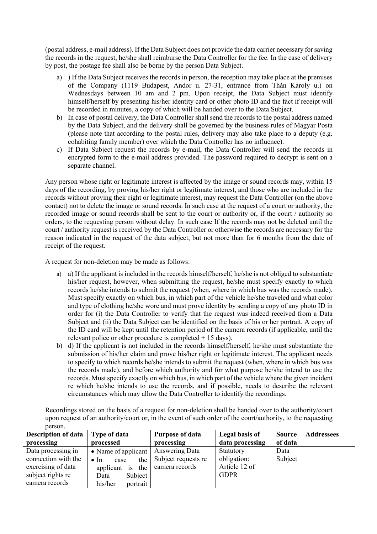(postal address, e-mail address). If the Data Subject does not provide the data carrier necessary for saving the records in the request, he/she shall reimburse the Data Controller for the fee. In the case of delivery by post, the postage fee shall also be borne by the person Data Subject.

- a) ) If the Data Subject receives the records in person, the reception may take place at the premises of the Company (1119 Budapest, Andor u. 27-31, entrance from Thán Károly u.) on Wednesdays between 10 am and 2 pm. Upon receipt, the Data Subject must identify himself/herself by presenting his/her identity card or other photo ID and the fact if receipt will be recorded in minutes, a copy of which will be handed over to the Data Subject.
- b) In case of postal delivery, the Data Controller shall send the records to the postal address named by the Data Subject, and the delivery shall be governed by the business rules of Magyar Posta (please note that according to the postal rules, delivery may also take place to a deputy (e.g. cohabiting family member) over which the Data Controller has no influence).
- c) If Data Subject request the records by e-mail, the Data Controller will send the records in encrypted form to the e-mail address provided. The password required to decrypt is sent on a separate channel.

Any person whose right or legitimate interest is affected by the image or sound records may, within 15 days of the recording, by proving his/her right or legitimate interest, and those who are included in the records without proving their right or legitimate interest, may request the Data Controller (on the above contact) not to delete the image or sound records. In such case at the request of a court or authority, the recorded image or sound records shall be sent to the court or authority or, if the court / authority so orders, to the requesting person without delay. In such case If the records may not be deleted until the court / authority request is received by the Data Controller or otherwise the records are necessary for the reason indicated in the request of the data subject, but not more than for 6 months from the date of receipt of the request.

A request for non-deletion may be made as follows:

- a) a) If the applicant is included in the records himself/herself, he/she is not obliged to substantiate his/her request, however, when submitting the request, he/she must specify exactly to which records he/she intends to submit the request (when, where in which bus was the records made). Must specify exactly on which bus, in which part of the vehicle he/she traveled and what color and type of clothing he/she wore and must prove identity by sending a copy of any photo ID in order for (i) the Data Controller to verify that the request was indeed received from a Data Subject and (ii) the Data Subject can be identified on the basis of his or her portrait. A copy of the ID card will be kept until the retention period of the camera records (if applicable, until the relevant police or other procedure is completed  $+ 15$  days).
- b) d) If the applicant is not included in the records himself/herself, he/she must substantiate the submission of his/her claim and prove his/her right or legitimate interest. The applicant needs to specify to which records he/she intends to submit the request (when, where in which bus was the records made), and before which authority and for what purpose he/she intend to use the records. Must specify exactly on which bus, in which part of the vehicle where the given incident re which he/she intends to use the records, and if possible, needs to describe the relevant circumstances which may allow the Data Controller to identify the recordings.

Recordings stored on the basis of a request for non-deletion shall be handed over to the authority/court upon request of an authority/court or, in the event of such order of the court/authority, to the requesting person.

| Description of data   Type of data |                                      | Purpose of data     | Legal basis of  | <b>Source</b> | <b>Addressees</b> |
|------------------------------------|--------------------------------------|---------------------|-----------------|---------------|-------------------|
| processing                         | processed                            | processing          | data processing | of data       |                   |
| Data processing in                 | • Name of applicant   Answering Data |                     | Statutory       | Data          |                   |
| connection with the                | the<br>$\bullet$ In<br>case          | Subject requests re | obligation:     | Subject       |                   |
| exercising of data                 | applicant is the                     | camera records      | Article 12 of   |               |                   |
| subject rights re                  | Subject<br>Data                      |                     | <b>GDPR</b>     |               |                   |
| camera records                     | portrait<br>his/her                  |                     |                 |               |                   |